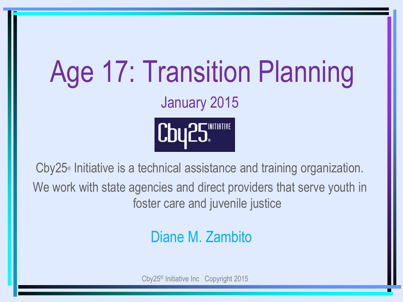# Age 17: Transition Planning January 2015 Cby25 NATION RE

Cby25® Initiative is a technical assistance and training organization. We work with state agencies and direct providers that serve youth in foster care and juvenile justice

## Diane M. Zambito

Cby25® Initiative Inc Copyright 2015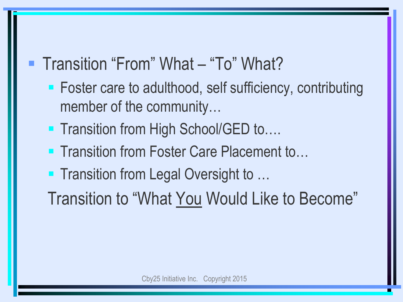## ■ Transition "From" What – "To" What?

- Foster care to adulthood, self sufficiency, contributing member of the community…
- Transition from High School/GED to....
- Transition from Foster Care Placement to…
- Transition from Legal Oversight to …
- Transition to "What You Would Like to Become"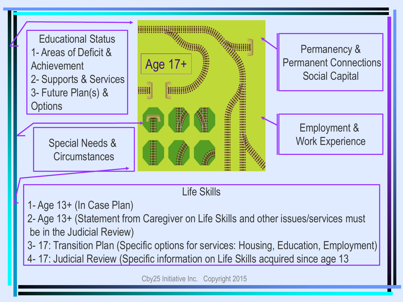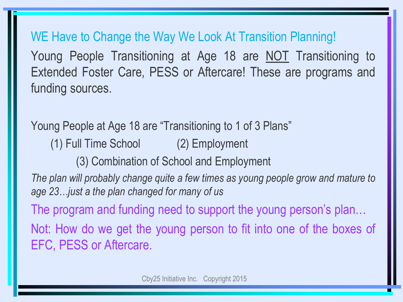WE Have to Change the Way We Look At Transition Planning! Young People Transitioning at Age 18 are NOT Transitioning to Extended Foster Care, PESS or Aftercare! These are programs and funding sources.

Young People at Age 18 are "Transitioning to 1 of 3 Plans" (1) Full Time School (2) Employment (3) Combination of School and Employment *The plan will probably change quite a few times as young people grow and mature to age 23…just a the plan changed for many of us* The program and funding need to support the young person's plan… Not: How do we get the young person to fit into one of the boxes of EFC, PESS or Aftercare.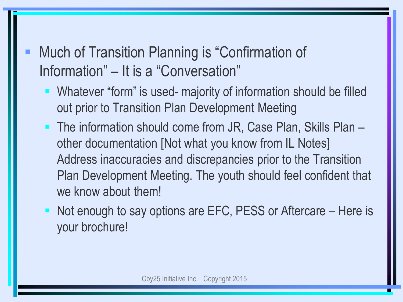Much of Transition Planning is "Confirmation of Information" – It is a "Conversation"

- Whatever "form" is used- majority of information should be filled out prior to Transition Plan Development Meeting
- The information should come from JR, Case Plan, Skills Plan other documentation [Not what you know from IL Notes] Address inaccuracies and discrepancies prior to the Transition Plan Development Meeting. The youth should feel confident that we know about them!
- Not enough to say options are EFC, PESS or Aftercare Here is your brochure!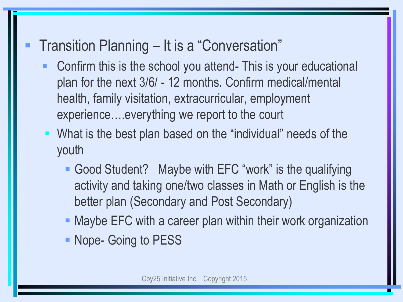## Transition Planning – It is a "Conversation"

- Confirm this is the school you attend- This is your educational plan for the next 3/6/ - 12 months. Confirm medical/mental health, family visitation, extracurricular, employment experience….everything we report to the court
- What is the best plan based on the "individual" needs of the youth
	- Good Student? Maybe with EFC "work" is the qualifying activity and taking one/two classes in Math or English is the better plan (Secondary and Post Secondary)
	- **Maybe EFC with a career plan within their work organization**
	- **Nope- Going to PESS**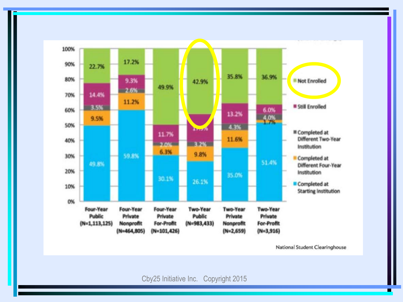

National Student Clearinghouse

Cby25 Initiative Inc. Copyright 2015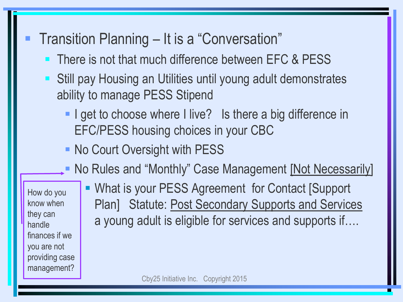### Transition Planning – It is a "Conversation"

- There is not that much difference between EFC & PESS
- Still pay Housing an Utilities until young adult demonstrates ability to manage PESS Stipend
	- I get to choose where I live? Is there a big difference in EFC/PESS housing choices in your CBC
	- No Court Oversight with PESS
	- **No Rules and "Monthly" Case Management [Not Necessarily]**

How do you know when they can handle finances if we you are not providing case management?

 What is your PESS Agreement for Contact [Support Plan] Statute: Post Secondary Supports and Services a young adult is eligible for services and supports if….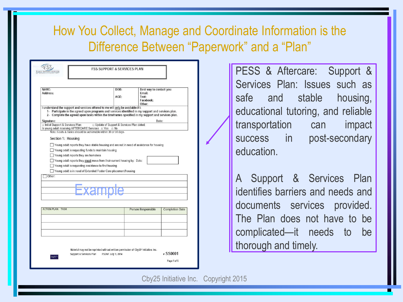#### How You Collect, Manage and Coordinate Information is the Difference Between "Paperwork" and a "Plan"

| SERVICES                                                                        |                                                                                                                                                                                                                                                                                                                                                                                                                                                                                                                                                                                                                                                                                                                                                                                                                                         | <b>FSS SUPPORT &amp; SERVICES PLAN</b>     |                                                                    |                        |
|---------------------------------------------------------------------------------|-----------------------------------------------------------------------------------------------------------------------------------------------------------------------------------------------------------------------------------------------------------------------------------------------------------------------------------------------------------------------------------------------------------------------------------------------------------------------------------------------------------------------------------------------------------------------------------------------------------------------------------------------------------------------------------------------------------------------------------------------------------------------------------------------------------------------------------------|--------------------------------------------|--------------------------------------------------------------------|------------------------|
| NAME:<br>Address:                                                               |                                                                                                                                                                                                                                                                                                                                                                                                                                                                                                                                                                                                                                                                                                                                                                                                                                         | DOB:<br>AGE:                               | Best way to contact you:<br>Email:<br>Text:<br>Facebook:<br>Other: |                        |
| Signature:<br>n Initial Support & Services Plan<br>Section 1: Housing<br>Other: | I understand the support and services offered to me will only be available if I:<br>1- Participate in the agreed upon programs and services identified in my support and services plan.<br>2- Complete the agreed upon tasks within the timeframes specified in my support and services plan.<br>Is young adult receiving AFTERCARE Services $\Box$ Yes $\Box$ No<br>Note: Goals & Tasks should be achievable within 30 or 60 days<br>Young adult reports they have stable housing and are not in need of assistance for housing<br>Young adult is requesting funds to maintain housing<br>Young adult reports they are homeless<br>Young adult reports they must move from their current housing by: Date:<br>Young adult is requesting assistance to find housing<br>Young adult is in need of Extended Foster Care placement/housing | □ Update of Support & Services Plan dated: |                                                                    | Date:                  |
| <b>ACTION PLAN: TASK</b>                                                        |                                                                                                                                                                                                                                                                                                                                                                                                                                                                                                                                                                                                                                                                                                                                                                                                                                         |                                            | <b>Person Responsible</b>                                          | <b>Completion Date</b> |
|                                                                                 |                                                                                                                                                                                                                                                                                                                                                                                                                                                                                                                                                                                                                                                                                                                                                                                                                                         |                                            |                                                                    |                        |
| Dug'S'                                                                          | Material may not be reprinted without written permission of Cby25 <sup>®</sup> Initiative, Inc.<br>Support & Services Plan                                                                                                                                                                                                                                                                                                                                                                                                                                                                                                                                                                                                                                                                                                              | <b>FSSNF July 1, 2014</b>                  |                                                                    | #SS0001<br>Page 1 of 5 |

PESS & Aftercare: Support & Services Plan: Issues such as safe and stable housing, educational tutoring, and reliable transportation can impact success in post-secondary education.

A Support & Services Plan identifies barriers and needs and documents services provided. The Plan does not have to be complicated—it needs to be thorough and timely.

Cby25 Initiative Inc. Copyright 2015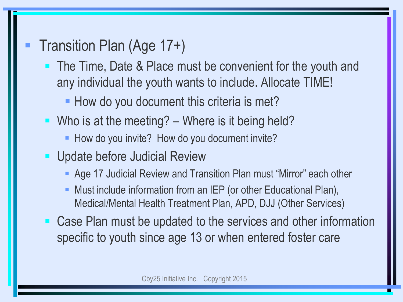- Transition Plan (Age 17+)
	- The Time, Date & Place must be convenient for the youth and any individual the youth wants to include. Allocate TIME!
		- How do you document this criteria is met?
	- Who is at the meeting?  $-$  Where is it being held?
		- How do you invite? How do you document invite?
	- **Update before Judicial Review** 
		- Age 17 Judicial Review and Transition Plan must "Mirror" each other
		- Must include information from an IEP (or other Educational Plan), Medical/Mental Health Treatment Plan, APD, DJJ (Other Services)
	- Case Plan must be updated to the services and other information specific to youth since age 13 or when entered foster care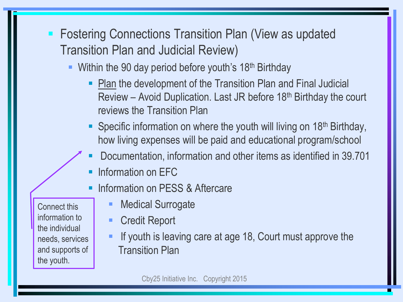- **Fostering Connections Transition Plan (View as updated** Transition Plan and Judicial Review)
	- Within the 90 day period before youth's  $18<sup>th</sup>$  Birthday
		- **Plan the development of the Transition Plan and Final Judicial** Review – Avoid Duplication. Last JR before 18th Birthday the court reviews the Transition Plan
		- Specific information on where the youth will living on 18<sup>th</sup> Birthday, how living expenses will be paid and educational program/school
		- Documentation, information and other items as identified in 39.701
		- Information on EFC
		- **Information on PESS & Aftercare**
	- Medical Surrogate Credit Report
		- **If youth is leaving care at age 18, Court must approve the** Transition Plan

Connect this information to the individual needs, services and supports of the youth.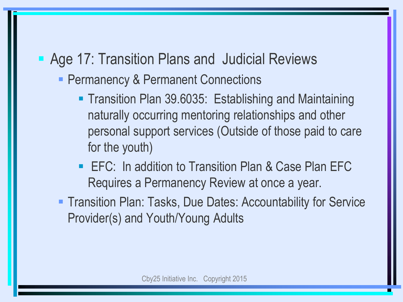## **Age 17: Transition Plans and Judicial Reviews**

- **Permanency & Permanent Connections** 
	- **Transition Plan 39.6035: Establishing and Maintaining** naturally occurring mentoring relationships and other personal support services (Outside of those paid to care for the youth)
	- EFC: In addition to Transition Plan & Case Plan EFC Requires a Permanency Review at once a year.
- **Transition Plan: Tasks, Due Dates: Accountability for Service** Provider(s) and Youth/Young Adults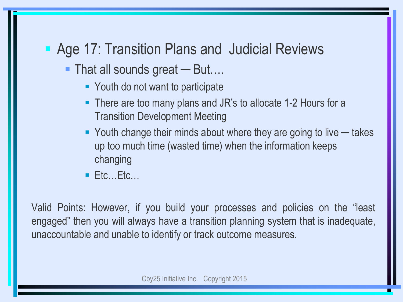### ■ Age 17: Transition Plans and Judicial Reviews

- That all sounds great But….
	- Youth do not want to participate
	- There are too many plans and JR's to allocate 1-2 Hours for a Transition Development Meeting
	- Youth change their minds about where they are going to live takes up too much time (wasted time) when the information keeps changing
	- $E$ Ftc…Etc…

Valid Points: However, if you build your processes and policies on the "least engaged" then you will always have a transition planning system that is inadequate, unaccountable and unable to identify or track outcome measures.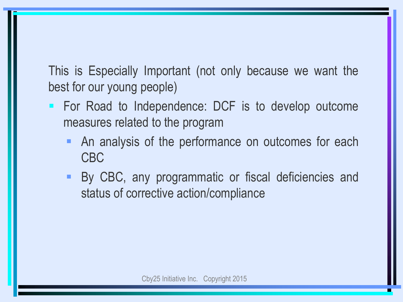This is Especially Important (not only because we want the best for our young people)

- For Road to Independence: DCF is to develop outcome measures related to the program
	- An analysis of the performance on outcomes for each CBC
	- **By CBC, any programmatic or fiscal deficiencies and** status of corrective action/compliance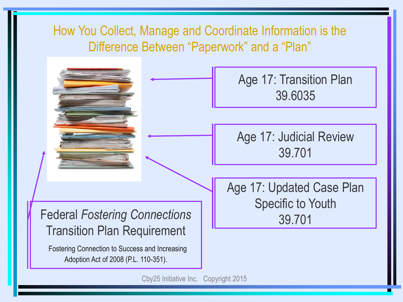

Cby25 Initiative Inc. Copyright 2015